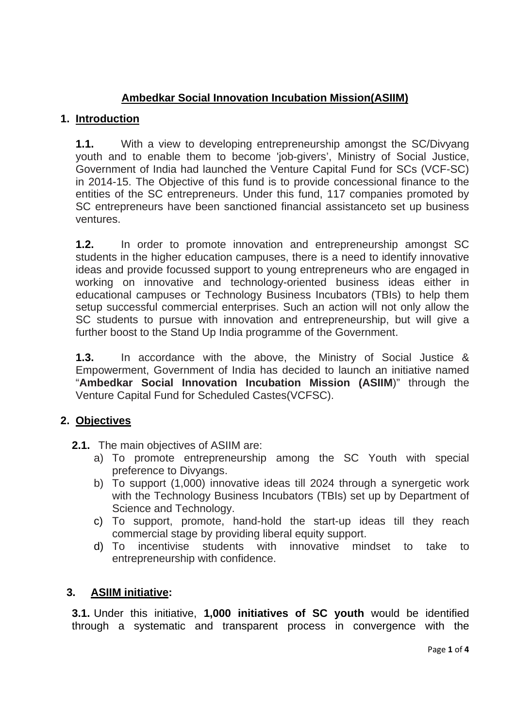# **Ambedkar Social Innovation Incubation Mission(ASIIM)**

## **1. Introduction**

**1.1.** With a view to developing entrepreneurship amongst the SC/Divyang youth and to enable them to become 'job-givers', Ministry of Social Justice, Government of India had launched the Venture Capital Fund for SCs (VCF-SC) in 2014-15. The Objective of this fund is to provide concessional finance to the entities of the SC entrepreneurs. Under this fund, 117 companies promoted by SC entrepreneurs have been sanctioned financial assistanceto set up business ventures.

**1.2.** In order to promote innovation and entrepreneurship amongst SC students in the higher education campuses, there is a need to identify innovative ideas and provide focussed support to young entrepreneurs who are engaged in working on innovative and technology-oriented business ideas either in educational campuses or Technology Business Incubators (TBIs) to help them setup successful commercial enterprises. Such an action will not only allow the SC students to pursue with innovation and entrepreneurship, but will give a further boost to the Stand Up India programme of the Government.

**1.3.** In accordance with the above, the Ministry of Social Justice & Empowerment, Government of India has decided to launch an initiative named "**Ambedkar Social Innovation Incubation Mission (ASIIM**)" through the Venture Capital Fund for Scheduled Castes(VCFSC).

## **2. Objectives**

- **2.1.** The main objectives of ASIIM are:
	- a) To promote entrepreneurship among the SC Youth with special preference to Divyangs.
	- b) To support (1,000) innovative ideas till 2024 through a synergetic work with the Technology Business Incubators (TBIs) set up by Department of Science and Technology.
	- c) To support, promote, hand-hold the start-up ideas till they reach commercial stage by providing liberal equity support.
	- d) To incentivise students with innovative mindset to take to entrepreneurship with confidence.

## **3. ASIIM initiative:**

**3.1.** Under this initiative, **1,000 initiatives of SC youth** would be identified through a systematic and transparent process in convergence with the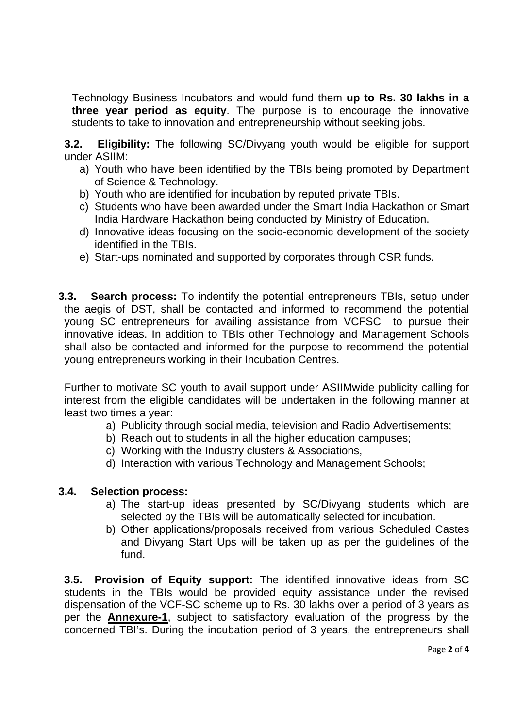Technology Business Incubators and would fund them **up to Rs. 30 lakhs in a three year period as equity**. The purpose is to encourage the innovative students to take to innovation and entrepreneurship without seeking jobs.

**3.2. Eligibility:** The following SC/Divyang youth would be eligible for support under ASIIM:

- a) Youth who have been identified by the TBIs being promoted by Department of Science & Technology.
- b) Youth who are identified for incubation by reputed private TBIs.
- c) Students who have been awarded under the Smart India Hackathon or Smart India Hardware Hackathon being conducted by Ministry of Education.
- d) Innovative ideas focusing on the socio-economic development of the society identified in the TBIs.
- e) Start-ups nominated and supported by corporates through CSR funds.

**3.3. Search process:** To indentify the potential entrepreneurs TBIs, setup under the aegis of DST, shall be contacted and informed to recommend the potential young SC entrepreneurs for availing assistance from VCFSC to pursue their innovative ideas. In addition to TBIs other Technology and Management Schools shall also be contacted and informed for the purpose to recommend the potential young entrepreneurs working in their Incubation Centres.

Further to motivate SC youth to avail support under ASIIMwide publicity calling for interest from the eligible candidates will be undertaken in the following manner at least two times a year:

- a) Publicity through social media, television and Radio Advertisements;
- b) Reach out to students in all the higher education campuses;
- c) Working with the Industry clusters & Associations,
- d) Interaction with various Technology and Management Schools;

### **3.4. Selection process:**

- a) The start-up ideas presented by SC/Divyang students which are selected by the TBIs will be automatically selected for incubation.
- b) Other applications/proposals received from various Scheduled Castes and Divyang Start Ups will be taken up as per the guidelines of the fund.

**3.5. Provision of Equity support:** The identified innovative ideas from SC students in the TBIs would be provided equity assistance under the revised dispensation of the VCF-SC scheme up to Rs. 30 lakhs over a period of 3 years as per the **Annexure-1**, subject to satisfactory evaluation of the progress by the concerned TBI's. During the incubation period of 3 years, the entrepreneurs shall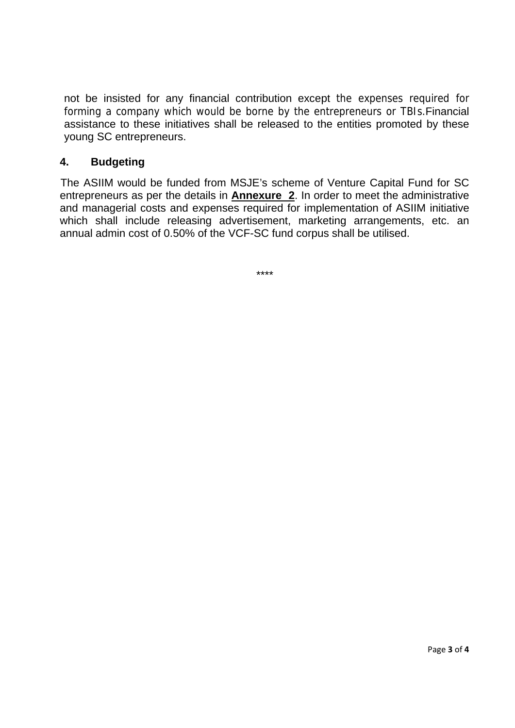not be insisted for any financial contribution except the expenses required for forming a company which would be borne by the entrepreneurs or TBIs.Financial assistance to these initiatives shall be released to the entities promoted by these young SC entrepreneurs.

### **4. Budgeting**

 The ASIIM would be funded from MSJE's scheme of Venture Capital Fund for SC entrepreneurs as per the details in **Annexure 2**. In order to meet the administrative and managerial costs and expenses required for implementation of ASIIM initiative which shall include releasing advertisement, marketing arrangements, etc. an annual admin cost of 0.50% of the VCF-SC fund corpus shall be utilised.

\*\*\*\*